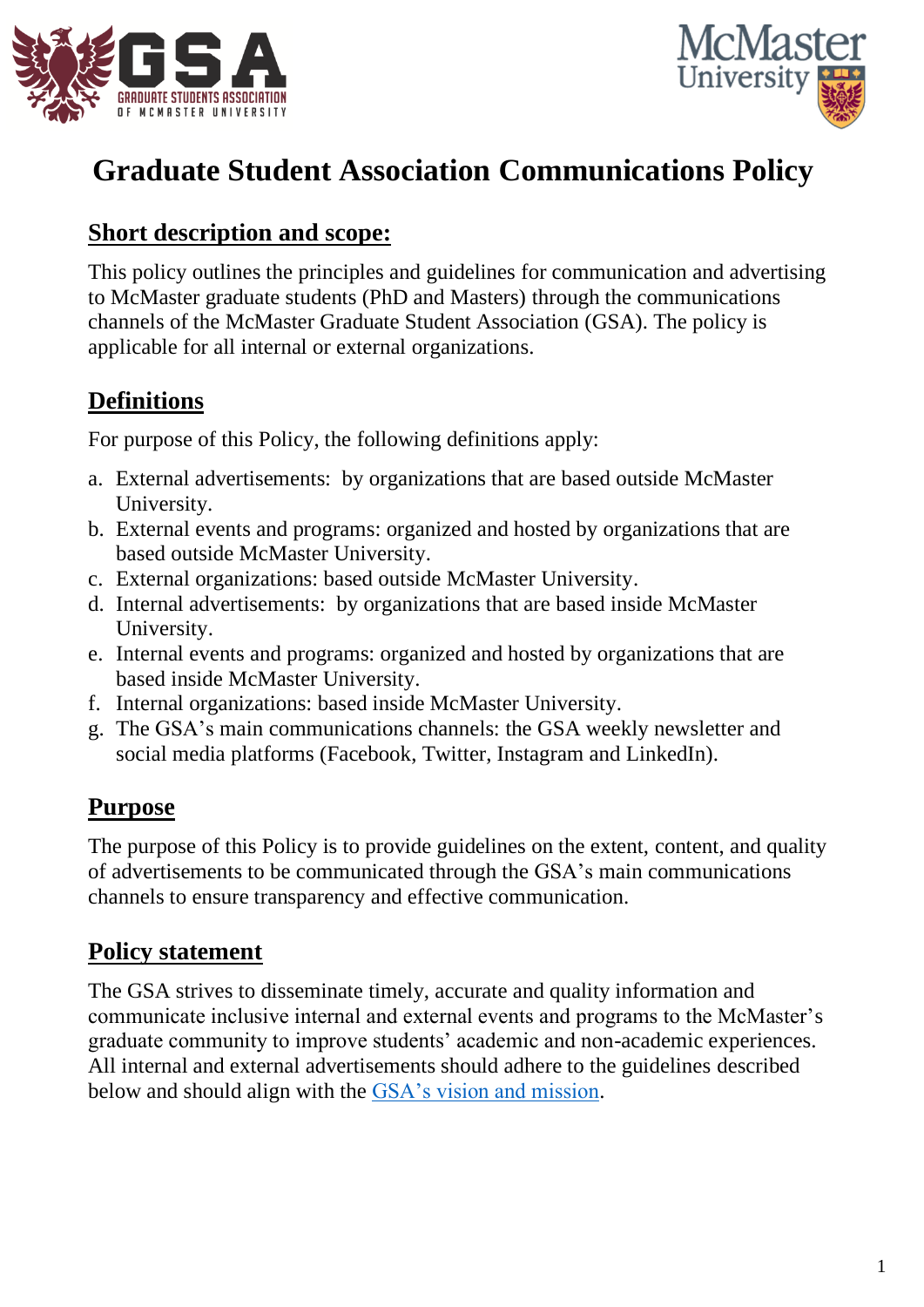



# **Graduate Student Association Communications Policy**

#### **Short description and scope:**

This policy outlines the principles and guidelines for communication and advertising to McMaster graduate students (PhD and Masters) through the communications channels of the McMaster Graduate Student Association (GSA). The policy is applicable for all internal or external organizations.

#### **Definitions**

For purpose of this Policy, the following definitions apply:

- a. External advertisements: by organizations that are based outside McMaster University.
- b. External events and programs: organized and hosted by organizations that are based outside McMaster University.
- c. External organizations: based outside McMaster University.
- d. Internal advertisements: by organizations that are based inside McMaster University.
- e. Internal events and programs: organized and hosted by organizations that are based inside McMaster University.
- f. Internal organizations: based inside McMaster University.
- g. The GSA's main communications channels: the GSA weekly newsletter and social media platforms (Facebook, Twitter, Instagram and LinkedIn).

## **Purpose**

The purpose of this Policy is to provide guidelines on the extent, content, and quality of advertisements to be communicated through the GSA's main communications channels to ensure transparency and effective communication.

### **Policy statement**

The GSA strives to disseminate timely, accurate and quality information and communicate inclusive internal and external events and programs to the McMaster's graduate community to improve students' academic and non-academic experiences. All internal and external advertisements should adhere to the guidelines described below and should align with the [GSA's vision and mission.](https://gsa.mcmaster.ca/your-gsa/mandate/)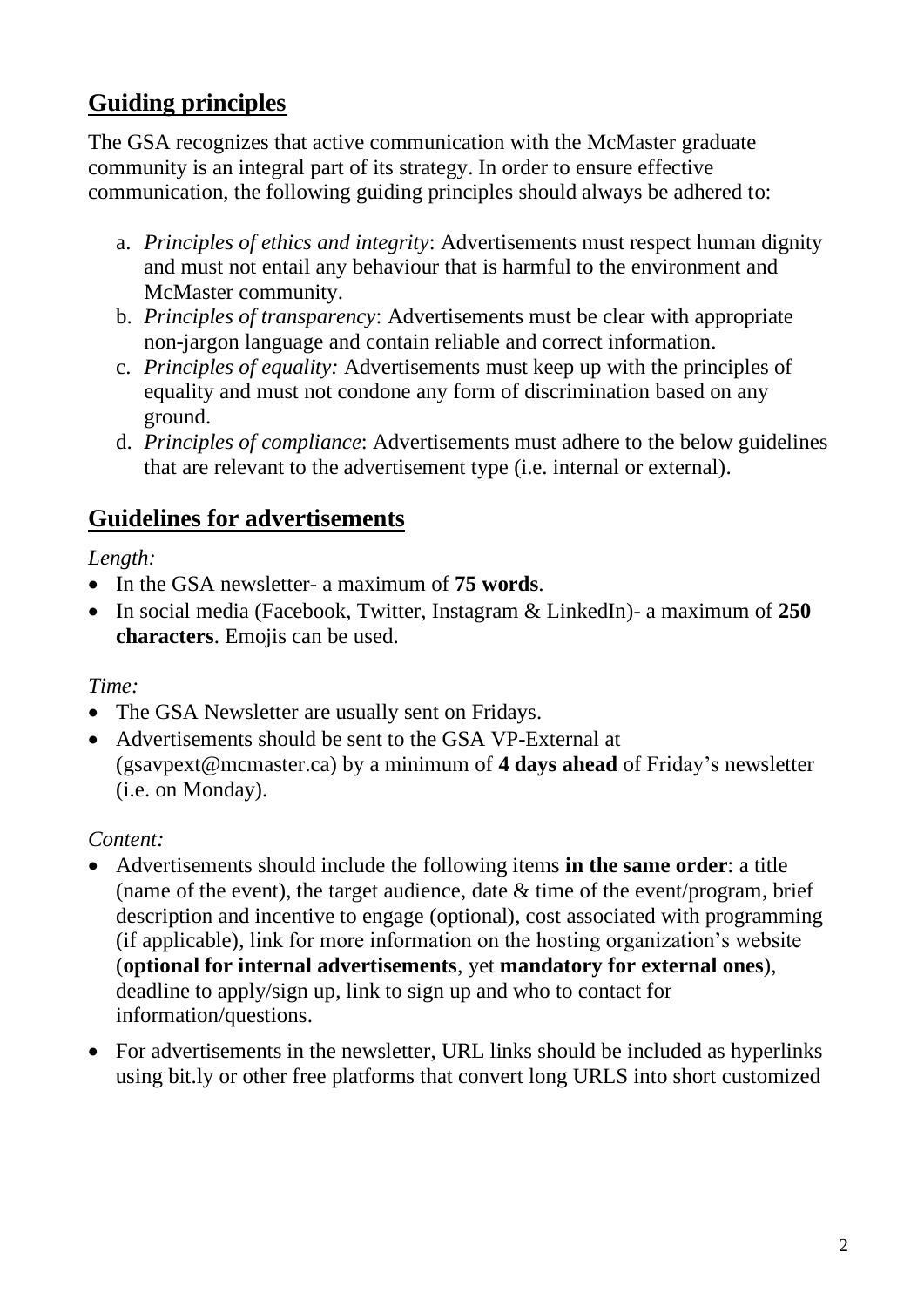### **Guiding principles**

The GSA recognizes that active communication with the McMaster graduate community is an integral part of its strategy. In order to ensure effective communication, the following guiding principles should always be adhered to:

- a. *Principles of ethics and integrity*: Advertisements must respect human dignity and must not entail any behaviour that is harmful to the environment and McMaster community.
- b. *Principles of transparency*: Advertisements must be clear with appropriate non-jargon language and contain reliable and correct information.
- c. *Principles of equality:* Advertisements must keep up with the principles of equality and must not condone any form of discrimination based on any ground.
- d. *Principles of compliance*: Advertisements must adhere to the below guidelines that are relevant to the advertisement type (i.e. internal or external).

### **Guidelines for advertisements**

#### *Length:*

- In the GSA newsletter- a maximum of **75 words**.
- In social media (Facebook, Twitter, Instagram & LinkedIn)- a maximum of **250 characters**. Emojis can be used.

#### *Time:*

- The GSA Newsletter are usually sent on Fridays.
- Advertisements should be sent to the GSA VP-External at (gsavpext@mcmaster.ca) by a minimum of **4 days ahead** of Friday's newsletter (i.e. on Monday).

#### *Content:*

- Advertisements should include the following items **in the same order**: a title (name of the event), the target audience, date & time of the event/program, brief description and incentive to engage (optional), cost associated with programming (if applicable), link for more information on the hosting organization's website (**optional for internal advertisements**, yet **mandatory for external ones**), deadline to apply/sign up, link to sign up and who to contact for information/questions.
- For advertisements in the newsletter, URL links should be included as hyperlinks using bit.ly or other free platforms that convert long URLS into short customized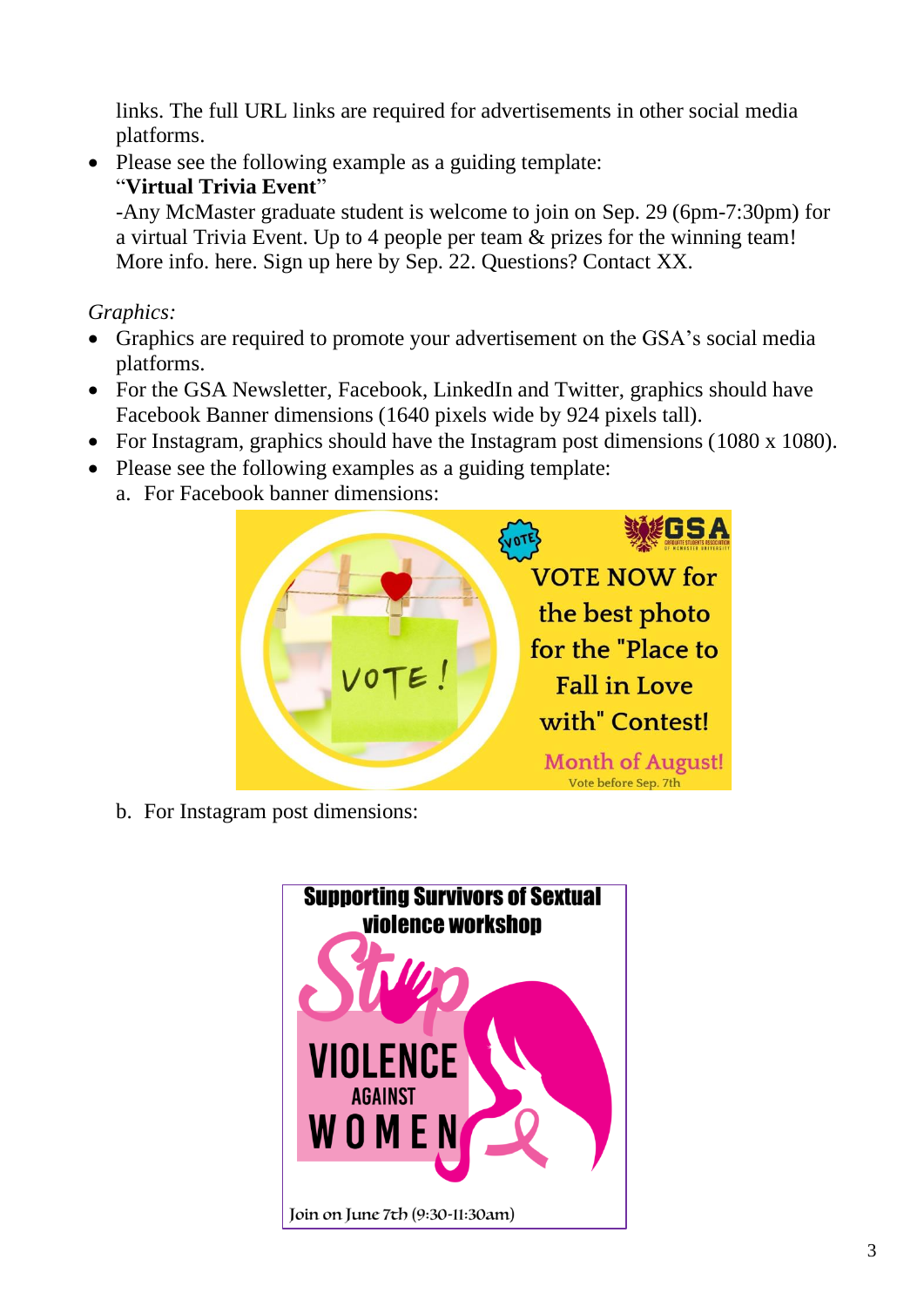links. The full URL links are required for advertisements in other social media platforms.

• Please see the following example as a guiding template: "**Virtual Trivia Event**"

-Any McMaster graduate student is welcome to join on Sep. 29 (6pm-7:30pm) for a virtual Trivia Event. Up to 4 people per team & prizes for the winning team! More info. here. Sign up here by Sep. 22. Questions? Contact XX.

*Graphics:* 

- Graphics are required to promote your advertisement on the GSA's social media platforms.
- For the GSA Newsletter, Facebook, LinkedIn and Twitter, graphics should have Facebook Banner dimensions (1640 pixels wide by 924 pixels tall).
- For Instagram, graphics should have the Instagram post dimensions (1080 x 1080).
- Please see the following examples as a guiding template:
	- a. For Facebook banner dimensions:



b. For Instagram post dimensions: